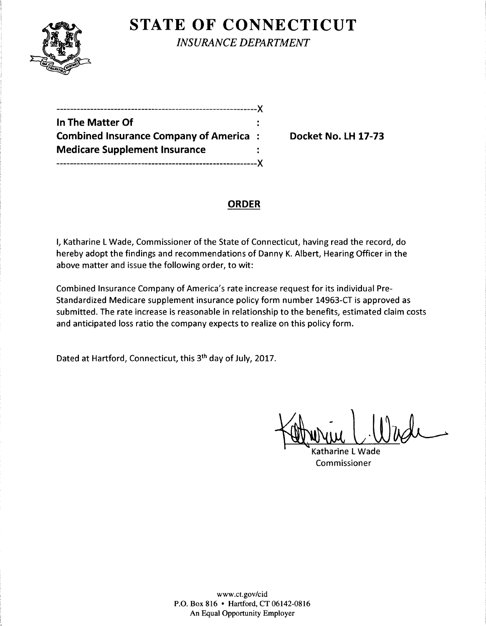

**STATE OF CONNECTICUT** 

*INSURANCE DEPARTMENT* 

| -------------------X                          |     |
|-----------------------------------------------|-----|
| In The Matter Of                              |     |
| <b>Combined Insurance Company of America:</b> |     |
| <b>Medicare Supplement Insurance</b>          |     |
|                                               | LY. |

**Combined Insurance Company of America** : **Docket No. LH 17-73** 

# **ORDER**

I, Katharine L Wade, Commissioner of the State of Connecticut, having read the record, do hereby adopt the findings and recommendations of Danny K. Albert, Hearing Officer in the above matter and issue the following order, to wit:

Combined Insurance Company of America's rate increase request for its individual Pre-Standardized Medicare supplement insurance policy form number 14963-CT is approved as submitted. The rate increase is reasonable in relationship to the benefits, estimated claim costs and anticipated loss ratio the company expects to realize on this policy form.

Dated at Hartford, Connecticut, this 3th day of July, 2017.

Katharine L Wade

Commissioner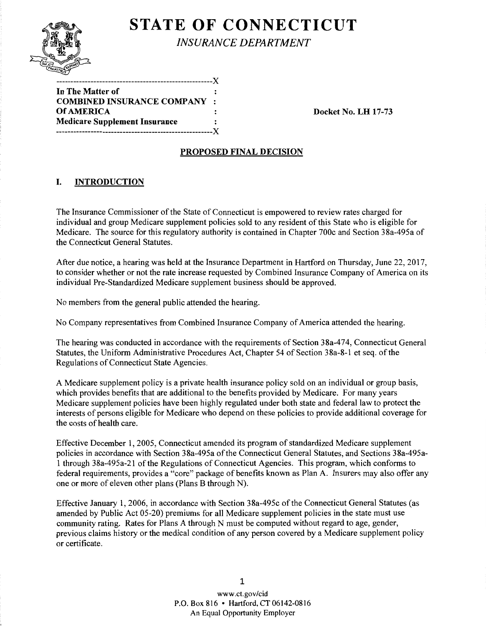

# **STATE OF CONNECTICUT**

*INSURANCE DEPARTMENT* 

| In The Matter of                     | :              |
|--------------------------------------|----------------|
| <b>COMBINED INSURANCE COMPANY</b>    | $\bullet$      |
| <b>Of AMERICA</b>                    |                |
| <b>Medicare Supplement Insurance</b> | $\ddot{\cdot}$ |
|                                      | -Y             |
|                                      |                |

Docket No. LH 17-73

## PROPOSED FINAL DECISION

## I. INTRODUCTION

The Insurance Commissioner of the State of Connecticut is empowered to review rates charged for individual and group Medicare supplement policies sold to any resident of this State who is eligible for Medicare. The source for this regulatory authority is contained in Chapter 700c and Section 38a-495a of the Connecticut General Statutes.

After due notice, a hearing was held at the Insurance Department in Hartford on Thursday, June 22, 2017, to consider whether or not the rate increase requested by Combined Insurance Company of America on its individual Pre-Standardized Medicare supplement business should be approved.

No members from the general public attended the hearing.

No Company representatives from Combined Insurance Company of America attended the hearing.

The hearing was conducted in accordance with the requirements of Section 38a-474, Connecticut General Statutes, the Uniform Administrative Procedures Act, Chapter 54 of Section 38a-8-1 et seq. of the Regulations of Connecticut State Agencies.

A Medicare supplement policy is a private health insurance policy sold on an individual or group basis, which provides benefits that are additional to the benefits provided by Medicare. For many years Medicare supplement policies have been highly regulated under both state and federal law to protect the interests of persons eligible for Medicare who depend on these policies to provide additional coverage for the costs of health care.

Effective December 1, 2005, Connecticut amended its program of standardized Medicare supplement policies in accordance with Section 38a-495a of the Connecticut General Statutes, and Sections 38a-495a-1 through 38a-495a-21 ofthe Regulations of Connecticut Agencies. This program, which conforms to federal requirements, provides a "core" package of benefits known as Plan A. Insurers may also offer any one or more of eleven other plans (Plans B through N).

Effective January 1, 2006, in accordance with Section 38a-495c of the Connecticut General Statutes (as amended by Public Act 05-20) premiums for all Medicare supplement policies in the state must use community rating. Rates for Plans A through N must be computed without regard to age, gender, previous claims history or the medical condition of any person covered by a Medicare supplement policy or certificate.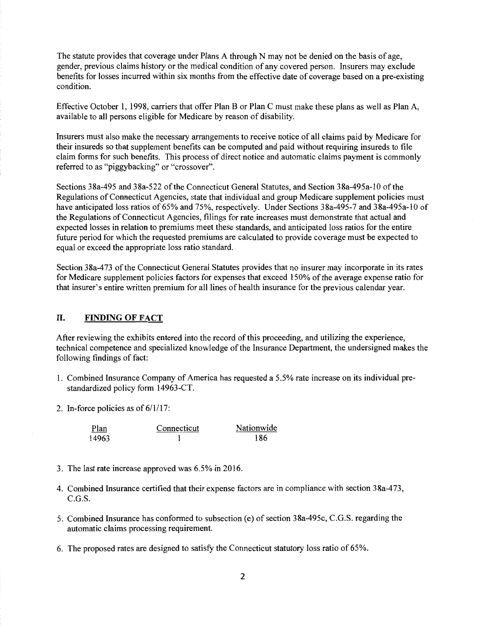The statute provides that coverage under Plans A through N may not be denied on the basis of age, gender, previous claims history or the medical condition of any covered person. Insurers may exclude benefits for losses incurred within six months from the effective date of coverage based on a pre-existing condition.

Effective October 1, 1998, carriers that offer Plan B or Plan C must make these plans as well as Plan A, available to all persons eligible for Medicare by reason of disability.

Insurers must also make the necessary arrangements to receive notice of all claims paid by Medicare for their insureds so that supplement benefits can be computed and paid without requiring insureds to file claim forms for such benefits. This process of direct notice and automatic claims payment is commonly referred to as "piggybacking" or "crossover".

Sections 38a-495 and 38a-522 ofthe Connecticut General Statutes, and Section 38a-495a-10 of the Regulations of Connecticut Agencies, state that individual and group Medicare supplement policies must have anticipated loss ratios of 65% and 75%, respectively. Under Sections 38a-495-7 and 38a-495a-10 of the Regulations of Connecticut Agencies, filings for rate increases must demonstrate that actual and expected losses in relation to premiums meet these standards, and anticipated loss ratios for the entire future period for which the requested premiums are calculated to provide coverage must be expected to equal or exceed the appropriate loss ratio standard.

Section 38a-473 of the Connecticut General Statutes provides that no insurer may incorporate in its rates for Medicare supplement policies factors for expenses that exceed 150% of the average expense ratio for that insurer's entire written premium for all lines of health insurance for the previous calendar year.

#### II. FINDING OF FACT

After reviewing the exhibits entered into the record of this proceeding, and utilizing the experience, technical competence and specialized knowledge ofthe Insurance Department, the undersigned makes the following findings of fact:

- 1. Combined Insurance Company of America has requested a 5.5% rate increase on its individual prestandardized policy form 14963-CT.
- 2. In-force policies as of  $6/1/17$ :

| Plan  | Connecticut | Nationwide |
|-------|-------------|------------|
| 14963 |             | 186        |

- 3. The last rate increase approved was 6.5% in 2016.
- 4. Combined Insurance certified that their expense factors are in compliance with section 38a-473, C.G.S.
- 5. Combined Insurance has conformed to subsection (e) of section 38a-495c, C.G.S. regarding the automatic claims processing requirement.
- 6. The proposed rates are designed to satisfy the Connecticut statutory loss ratio of 65%.